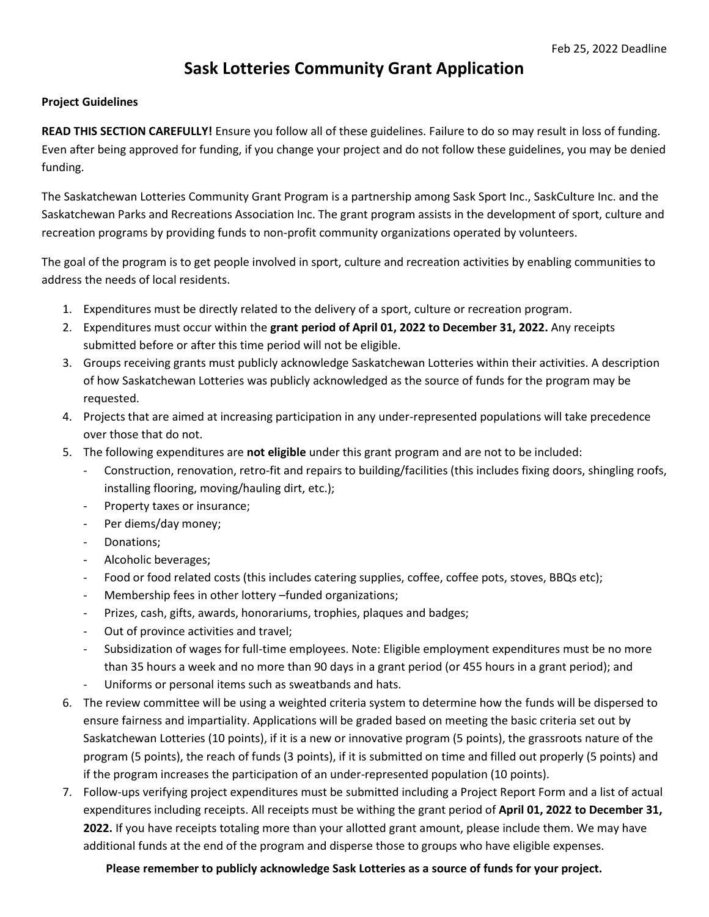## **Sask Lotteries Community Grant Application**

## **Project Guidelines**

**READ THIS SECTION CAREFULLY!** Ensure you follow all of these guidelines. Failure to do so may result in loss of funding. Even after being approved for funding, if you change your project and do not follow these guidelines, you may be denied funding.

The Saskatchewan Lotteries Community Grant Program is a partnership among Sask Sport Inc., SaskCulture Inc. and the Saskatchewan Parks and Recreations Association Inc. The grant program assists in the development of sport, culture and recreation programs by providing funds to non-profit community organizations operated by volunteers.

The goal of the program is to get people involved in sport, culture and recreation activities by enabling communities to address the needs of local residents.

- 1. Expenditures must be directly related to the delivery of a sport, culture or recreation program.
- 2. Expenditures must occur within the **grant period of April 01, 2022 to December 31, 2022.** Any receipts submitted before or after this time period will not be eligible.
- 3. Groups receiving grants must publicly acknowledge Saskatchewan Lotteries within their activities. A description of how Saskatchewan Lotteries was publicly acknowledged as the source of funds for the program may be requested.
- 4. Projects that are aimed at increasing participation in any under-represented populations will take precedence over those that do not.
- 5. The following expenditures are **not eligible** under this grant program and are not to be included:
	- Construction, renovation, retro-fit and repairs to building/facilities (this includes fixing doors, shingling roofs, installing flooring, moving/hauling dirt, etc.);
	- Property taxes or insurance;
	- Per diems/day money;
	- Donations;
	- Alcoholic beverages;
	- Food or food related costs (this includes catering supplies, coffee, coffee pots, stoves, BBQs etc);
	- Membership fees in other lottery –funded organizations;
	- Prizes, cash, gifts, awards, honorariums, trophies, plaques and badges;
	- Out of province activities and travel;
	- Subsidization of wages for full-time employees. Note: Eligible employment expenditures must be no more than 35 hours a week and no more than 90 days in a grant period (or 455 hours in a grant period); and
	- Uniforms or personal items such as sweatbands and hats.
- 6. The review committee will be using a weighted criteria system to determine how the funds will be dispersed to ensure fairness and impartiality. Applications will be graded based on meeting the basic criteria set out by Saskatchewan Lotteries (10 points), if it is a new or innovative program (5 points), the grassroots nature of the program (5 points), the reach of funds (3 points), if it is submitted on time and filled out properly (5 points) and if the program increases the participation of an under-represented population (10 points).
- 7. Follow-ups verifying project expenditures must be submitted including a Project Report Form and a list of actual expenditures including receipts. All receipts must be withing the grant period of **April 01, 2022 to December 31, 2022.** If you have receipts totaling more than your allotted grant amount, please include them. We may have additional funds at the end of the program and disperse those to groups who have eligible expenses.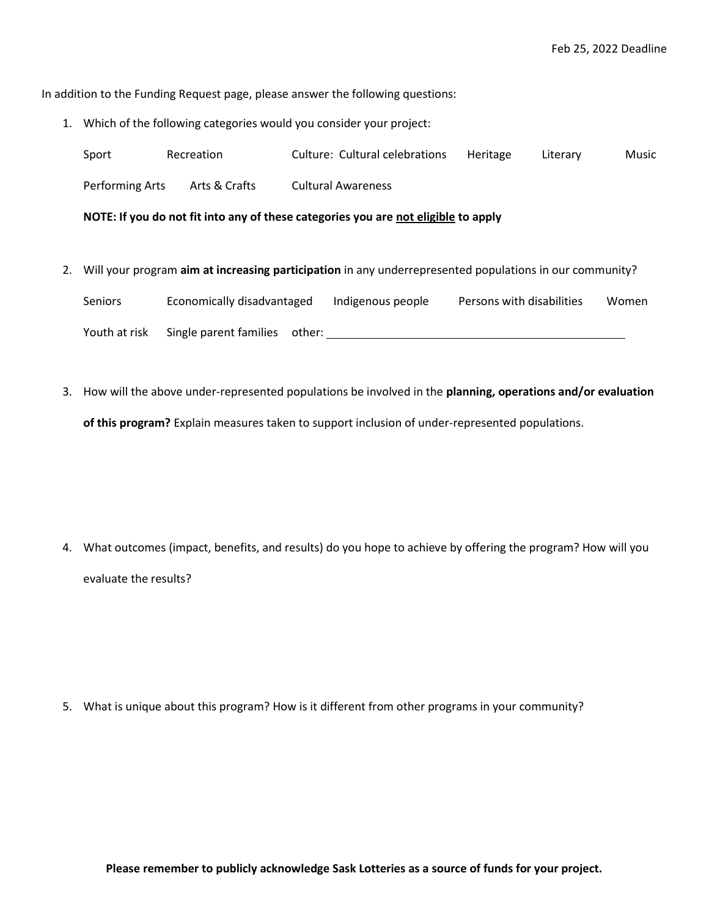In addition to the Funding Request page, please answer the following questions:

1. Which of the following categories would you consider your project:

| Sport           | Recreation    | <b>Culture: Cultural celebrations</b>                                                                           | Heritage | Literary | Music |
|-----------------|---------------|-----------------------------------------------------------------------------------------------------------------|----------|----------|-------|
| Performing Arts | Arts & Crafts | <b>Cultural Awareness</b><br>NOTE: If you do not fit into any of these categories you are not eligible to apply |          |          |       |

- 2. Will your program **aim at increasing participation** in any underrepresented populations in our community? Seniors Economically disadvantaged Indigenous people Persons with disabilities Women Youth at risk Single parent families other:
- 3. How will the above under-represented populations be involved in the **planning, operations and/or evaluation of this program?** Explain measures taken to support inclusion of under-represented populations.

4. What outcomes (impact, benefits, and results) do you hope to achieve by offering the program? How will you evaluate the results?

5. What is unique about this program? How is it different from other programs in your community?